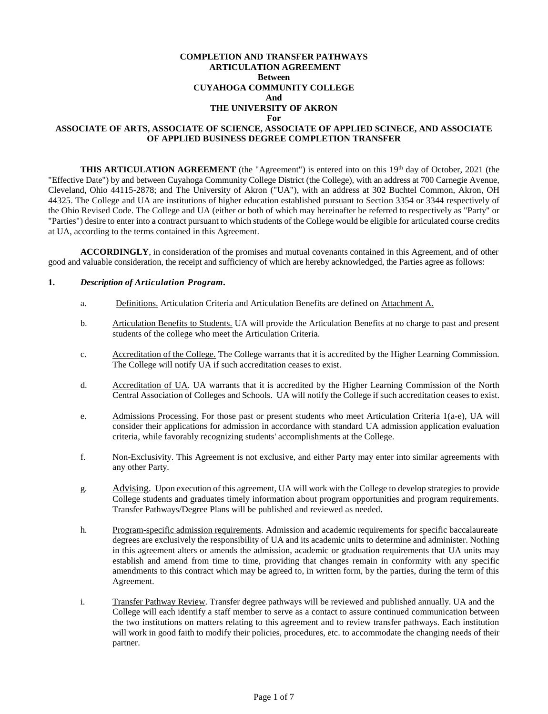#### **COMPLETION AND TRANSFER PATHWAYS ARTICULATION AGREEMENT Between CUYAHOGA COMMUNITY COLLEGE And THE UNIVERSITY OF AKRON For ASSOCIATE OF ARTS, ASSOCIATE OF SCIENCE, ASSOCIATE OF APPLIED SCINECE, AND ASSOCIATE OF APPLIED BUSINESS DEGREE COMPLETION TRANSFER**

**THIS ARTICULATION AGREEMENT** (the "Agreement") is entered into on this 19<sup>th</sup> day of October, 2021 (the "Effective Date") by and between Cuyahoga Community College District (the College), with an address at 700 Carnegie Avenue, Cleveland, Ohio 44115-2878; and The University of Akron ("UA"), with an address at 302 Buchtel Common, Akron, OH 44325. The College and UA are institutions of higher education established pursuant to Section 3354 or 3344 respectively of the Ohio Revised Code. The College and UA (either or both of which may hereinafter be referred to respectively as "Party" or "Parties") desire to enter into a contract pursuant to which students of the College would be eligible for articulated course credits at UA, according to the terms contained in this Agreement.

**ACCORDINGLY**, in consideration of the promises and mutual covenants contained in this Agreement, and of other good and valuable consideration, the receipt and sufficiency of which are hereby acknowledged, the Parties agree as follows:

#### **1.** *Description of Articulation Program.*

- a. Definitions. Articulation Criteria and Articulation Benefits are defined on Attachment A.
- b. Articulation Benefits to Students. UA will provide the Articulation Benefits at no charge to past and present students of the college who meet the Articulation Criteria.
- c. Accreditation of the College. The College warrants that it is accredited by the Higher Learning Commission. The College will notify UA if such accreditation ceases to exist.
- d. Accreditation of UA. UA warrants that it is accredited by the Higher Learning Commission of the North Central Association of Colleges and Schools. UA will notify the College if such accreditation ceases to exist.
- e. Admissions Processing. For those past or present students who meet Articulation Criteria 1(a-e), UA will consider their applications for admission in accordance with standard UA admission application evaluation criteria, while favorably recognizing students' accomplishments at the College.
- f. Non-Exclusivity. This Agreement is not exclusive, and either Party may enter into similar agreements with any other Party.
- g. Advising. Upon execution of this agreement, UA will work with the College to develop strategies to provide College students and graduates timely information about program opportunities and program requirements. Transfer Pathways/Degree Plans will be published and reviewed as needed.
- h. Program-specific admission requirements. Admission and academic requirements for specific baccalaureate degrees are exclusively the responsibility of UA and its academic units to determine and administer. Nothing in this agreement alters or amends the admission, academic or graduation requirements that UA units may establish and amend from time to time, providing that changes remain in conformity with any specific amendments to this contract which may be agreed to, in written form, by the parties, during the term of this Agreement.
- i. Transfer Pathway Review. Transfer degree pathways will be reviewed and published annually. UA and the College will each identify a staff member to serve as a contact to assure continued communication between the two institutions on matters relating to this agreement and to review transfer pathways. Each institution will work in good faith to modify their policies, procedures, etc. to accommodate the changing needs of their partner.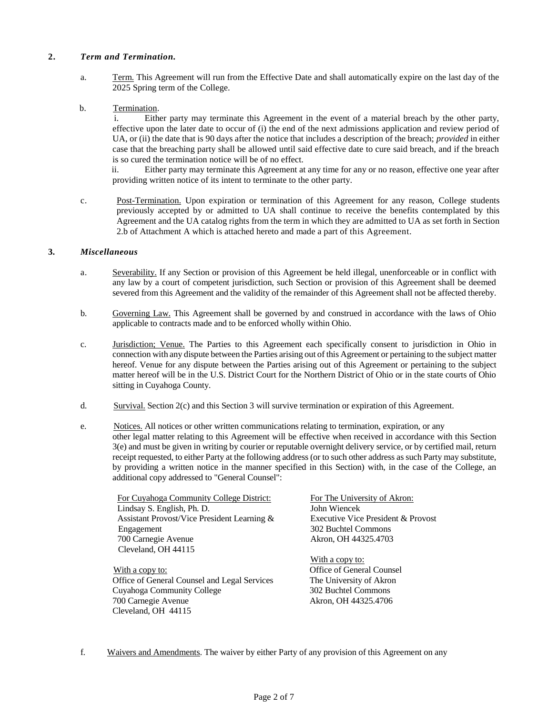## **2.** *Term and Termination.*

- a. Term. This Agreement will run from the Effective Date and shall automatically expire on the last day of the 2025 Spring term of the College.
- b. Termination.

i. Either party may terminate this Agreement in the event of a material breach by the other party, effective upon the later date to occur of (i) the end of the next admissions application and review period of UA, or (ii) the date that is 90 days after the notice that includes a description of the breach; *provided* in either case that the breaching party shall be allowed until said effective date to cure said breach, and if the breach is so cured the termination notice will be of no effect.

ii. Either party may terminate this Agreement at any time for any or no reason, effective one year after providing written notice of its intent to terminate to the other party.

c. Post-Termination. Upon expiration or termination of this Agreement for any reason, College students previously accepted by or admitted to UA shall continue to receive the benefits contemplated by this Agreement and the UA catalog rights from the term in which they are admitted to UA as set forth in Section 2.b of Attachment A which is attached hereto and made a part of this Agreement.

## **3.** *Miscellaneous*

- a. Severability. If any Section or provision of this Agreement be held illegal, unenforceable or in conflict with any law by a court of competent jurisdiction, such Section or provision of this Agreement shall be deemed severed from this Agreement and the validity of the remainder of this Agreement shall not be affected thereby.
- b. Governing Law. This Agreement shall be governed by and construed in accordance with the laws of Ohio applicable to contracts made and to be enforced wholly within Ohio.
- c. Jurisdiction; Venue. The Parties to this Agreement each specifically consent to jurisdiction in Ohio in connection with any dispute between the Parties arising out of this Agreement or pertaining to the subject matter hereof. Venue for any dispute between the Parties arising out of this Agreement or pertaining to the subject matter hereof will be in the U.S. District Court for the Northern District of Ohio or in the state courts of Ohio sitting in Cuyahoga County.
- d. Survival. Section 2(c) and this Section 3 will survive termination or expiration of this Agreement.
- e. Notices. All notices or other written communications relating to termination, expiration, or any other legal matter relating to this Agreement will be effective when received in accordance with this Section 3(e) and must be given in writing by courier or reputable overnight delivery service, or by certified mail, return receipt requested, to either Party at the following address (or to such other address as such Party may substitute, by providing a written notice in the manner specified in this Section) with, in the case of the College, an additional copy addressed to "General Counsel":

For Cuyahoga Community College District: Lindsay S. English, Ph. D. Assistant Provost/Vice President Learning & Engagement 700 Carnegie Avenue Cleveland, OH 44115

With a copy to: Office of General Counsel and Legal Services Cuyahoga Community College 700 Carnegie Avenue Cleveland, OH 44115

For The University of Akron: John Wiencek Executive Vice President & Provost 302 Buchtel Commons Akron, OH 44325.4703

With a copy to: Office of General Counsel The University of Akron 302 Buchtel Commons Akron, OH 44325.4706

f. Waivers and Amendments. The waiver by either Party of any provision of this Agreement on any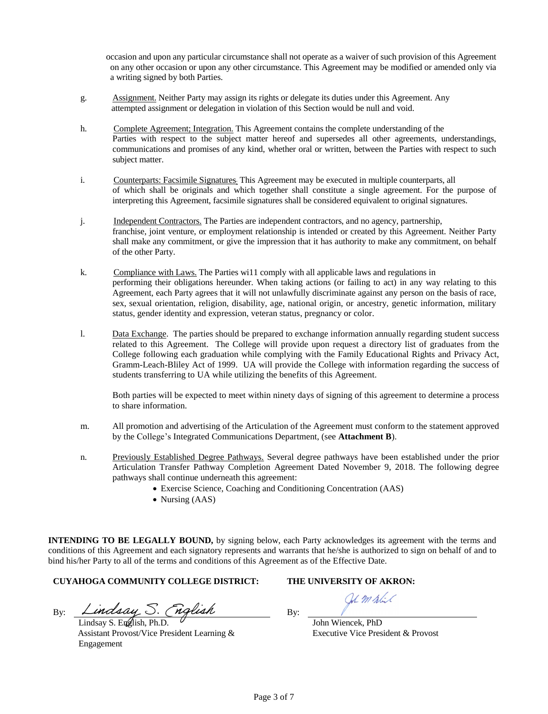occasion and upon any particular circumstance shall not operate as a waiver of such provision of this Agreement on any other occasion or upon any other circumstance. This Agreement may be modified or amended only via a writing signed by both Parties.

- g. Assignment. Neither Party may assign its rights or delegate its duties under this Agreement. Any attempted assignment or delegation in violation of this Section would be null and void.
- h. Complete Agreement; Integration. This Agreement contains the complete understanding of the Parties with respect to the subject matter hereof and supersedes all other agreements, understandings, communications and promises of any kind, whether oral or written, between the Parties with respect to such subject matter.
- i. Counterparts: Facsimile Signatures; This Agreement may be executed in multiple counterparts, all of which shall be originals and which together shall constitute a single agreement. For the purpose of interpreting this Agreement, facsimile signatures shall be considered equivalent to original signatures.
- j. Independent Contractors. The Parties are independent contractors, and no agency, partnership, franchise, joint venture, or employment relationship is intended or created by this Agreement. Neither Party shall make any commitment, or give the impression that it has authority to make any commitment, on behalf of the other Party.
- k. Compliance with Laws. The Parties wi11 comply with all applicable laws and regulations in performing their obligations hereunder. When taking actions (or failing to act) in any way relating to this Agreement, each Party agrees that it will not unlawfully discriminate against any person on the basis of race, sex, sexual orientation, religion, disability, age, national origin, or ancestry, genetic information, military status, gender identity and expression, veteran status, pregnancy or color.
- l. Data Exchange. The parties should be prepared to exchange information annually regarding student success related to this Agreement. The College will provide upon request a directory list of graduates from the College following each graduation while complying with the Family Educational Rights and Privacy Act, Gramm-Leach-Bliley Act of 1999. UA will provide the College with information regarding the success of students transferring to UA while utilizing the benefits of this Agreement.

Both parties will be expected to meet within ninety days of signing of this agreement to determine a process to share information.

- m. All promotion and advertising of the Articulation of the Agreement must conform to the statement approved by the College's Integrated Communications Department, (see **Attachment B**).
- n. Previously Established Degree Pathways. Several degree pathways have been established under the prior Articulation Transfer Pathway Completion Agreement Dated November 9, 2018. The following degree pathways shall continue underneath this agreement:
	- Exercise Science, Coaching and Conditioning Concentration (AAS)
	- Nursing (AAS)

**INTENDING TO BE LEGALLY BOUND,** by signing below, each Party acknowledges its agreement with the terms and conditions of this Agreement and each signatory represents and warrants that he/she is authorized to sign on behalf of and to bind his/her Party to all of the terms and conditions of this Agreement as of the Effective Date.

# **CUYAHOGA COMMUNITY COLLEGE DISTRICT: THE UNIVERSITY OF AKRON:**

 $B_{\rm V}$ : Lindsay S. (nglish  $B_{\rm V}$ :

Lindsay S. English, Ph.D. Assistant Provost/Vice President Learning & Engagement

Umpl-C

John Wiencek, PhD Executive Vice President & Provost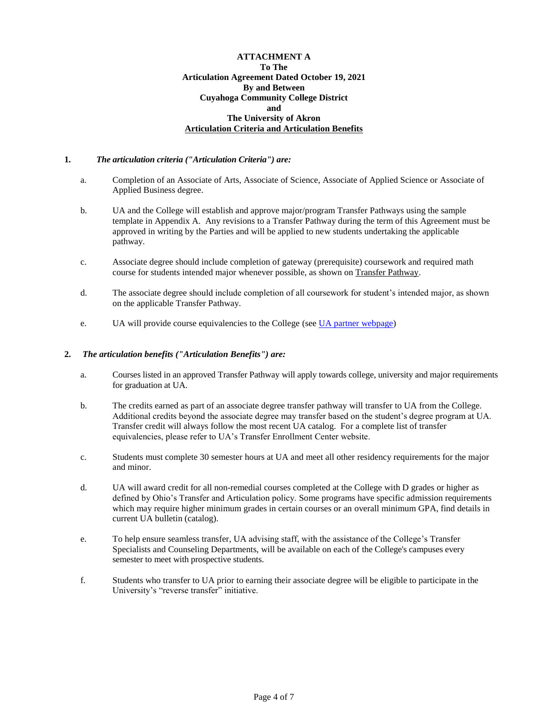## **ATTACHMENT A To The Articulation Agreement Dated October 19, 2021 By and Between Cuyahoga Community College District and The University of Akron Articulation Criteria and Articulation Benefits**

## **1.** *The articulation criteria ("Articulation Criteria") are:*

- a. Completion of an Associate of Arts, Associate of Science, Associate of Applied Science or Associate of Applied Business degree.
- b. UA and the College will establish and approve major/program Transfer Pathways using the sample template in Appendix A. Any revisions to a Transfer Pathway during the term of this Agreement must be approved in writing by the Parties and will be applied to new students undertaking the applicable pathway.
- c. Associate degree should include completion of gateway (prerequisite) coursework and required math course for students intended major whenever possible, as shown on Transfer Pathway.
- d. The associate degree should include completion of all coursework for student's intended major, as shown on the applicable Transfer Pathway*.*
- e. UA will provide course equivalencies to the College (see [UA partner webpage\)](https://www.tri-c.edu/transfer/university-partnerships/university-of-akron.html)

### **2.** *The articulation benefits ("Articulation Benefits") are:*

- a. Courses listed in an approved Transfer Pathway will apply towards college, university and major requirements for graduation at UA.
- b. The credits earned as part of an associate degree transfer pathway will transfer to UA from the College. Additional credits beyond the associate degree may transfer based on the student's degree program at UA. Transfer credit will always follow the most recent UA catalog. For a complete list of transfer equivalencies, please refer to UA's Transfer Enrollment Center website.
- c. Students must complete 30 semester hours at UA and meet all other residency requirements for the major and minor.
- d. UA will award credit for all non-remedial courses completed at the College with D grades or higher as defined by Ohio's Transfer and Articulation policy. Some programs have specific admission requirements which may require higher minimum grades in certain courses or an overall minimum GPA, find details in current UA bulletin (catalog).
- e. To help ensure seamless transfer, UA advising staff, with the assistance of the College's Transfer Specialists and Counseling Departments, will be available on each of the College's campuses every semester to meet with prospective students.
- f. Students who transfer to UA prior to earning their associate degree will be eligible to participate in the University's "reverse transfer" initiative.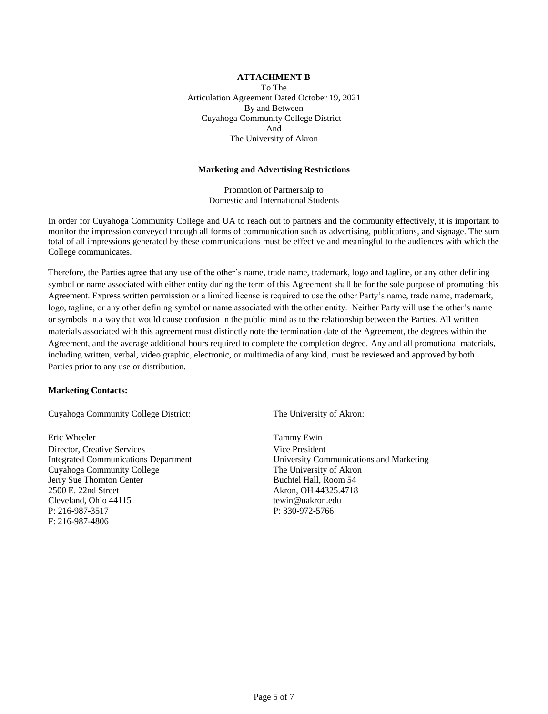## **ATTACHMENT B** To The Articulation Agreement Dated October 19, 2021 By and Between Cuyahoga Community College District And The University of Akron

#### **Marketing and Advertising Restrictions**

Promotion of Partnership to Domestic and International Students

In order for Cuyahoga Community College and UA to reach out to partners and the community effectively, it is important to monitor the impression conveyed through all forms of communication such as advertising, publications, and signage. The sum total of all impressions generated by these communications must be effective and meaningful to the audiences with which the College communicates.

Therefore, the Parties agree that any use of the other's name, trade name, trademark, logo and tagline, or any other defining symbol or name associated with either entity during the term of this Agreement shall be for the sole purpose of promoting this Agreement. Express written permission or a limited license is required to use the other Party's name, trade name, trademark, logo, tagline, or any other defining symbol or name associated with the other entity. Neither Party will use the other's name or symbols in a way that would cause confusion in the public mind as to the relationship between the Parties. All written materials associated with this agreement must distinctly note the termination date of the Agreement, the degrees within the Agreement, and the average additional hours required to complete the completion degree. Any and all promotional materials, including written, verbal, video graphic, electronic, or multimedia of any kind, must be reviewed and approved by both Parties prior to any use or distribution.

#### **Marketing Contacts:**

Cuyahoga Community College District: The University of Akron:

Eric Wheeler Tammy Ewin Director, Creative Services Vice President Cuyahoga Community College The University of Akron Jerry Sue Thornton Center **Buchtel Hall**, Room 54 2500 E. 22nd Street Akron, OH 44325.4718 Cleveland, Ohio 44115 tewin@uakron.edu P: 216-987-3517 P: 330-972-5766 F: 216-987-4806

Integrated Communications Department University Communications and Marketing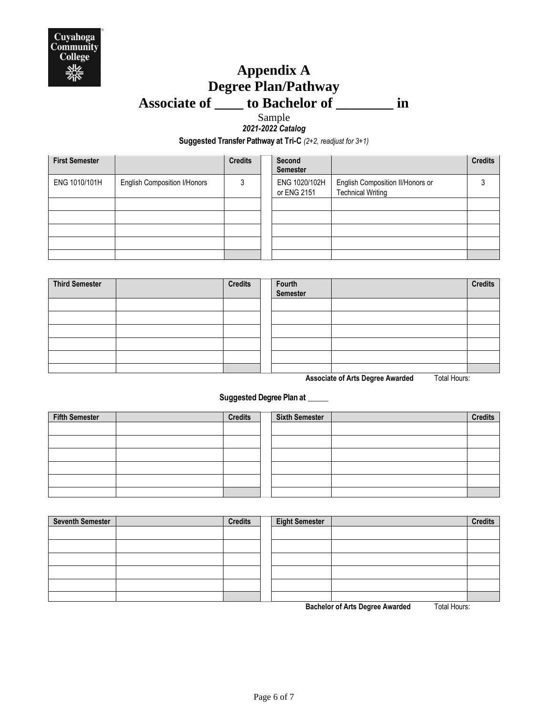

# **Appendix A Degree Plan/Pathway Associate of \_\_\_\_ to Bachelor of \_\_\_\_\_\_\_\_ in**

## Sample *2021-2022 Catalog*

**Suggested Transfer Pathway at Tri-C** *(2+2, readjust for 3+1)*

| <b>First Semester</b> |                                     | <b>Credits</b> | Second<br><b>Semester</b>    |                                                              | <b>Credits</b> |
|-----------------------|-------------------------------------|----------------|------------------------------|--------------------------------------------------------------|----------------|
| ENG 1010/101H         | <b>English Composition I/Honors</b> | 3              | ENG 1020/102H<br>or ENG 2151 | English Composition II/Honors or<br><b>Technical Writing</b> |                |
|                       |                                     |                |                              |                                                              |                |
|                       |                                     |                |                              |                                                              |                |
|                       |                                     |                |                              |                                                              |                |
|                       |                                     |                |                              |                                                              |                |
|                       |                                     |                |                              |                                                              |                |

| <b>Third Semester</b> | <b>Credits</b> | Fourth<br>Semester |                | <b>Credits</b> |
|-----------------------|----------------|--------------------|----------------|----------------|
|                       |                |                    |                |                |
|                       |                |                    |                |                |
|                       |                |                    |                |                |
|                       |                |                    |                |                |
|                       |                |                    |                |                |
|                       |                |                    | .<br>_ _ _ _ _ |                |

**Associate of Arts Degree Awarded** Total Hours:

## **Suggested Degree Plan at \_\_\_\_\_**

| <b>Fifth Semester</b> | <b>Credits</b> | <b>Sixth Semester</b> | <b>Credits</b> |
|-----------------------|----------------|-----------------------|----------------|
|                       |                |                       |                |
|                       |                |                       |                |
|                       |                |                       |                |
|                       |                |                       |                |
|                       |                |                       |                |
|                       |                |                       |                |

| <b>Seventh Semester</b> | <b>Credits</b> | <b>Eight Semester</b> | <b>Credits</b> |
|-------------------------|----------------|-----------------------|----------------|
|                         |                |                       |                |
|                         |                |                       |                |
|                         |                |                       |                |
|                         |                |                       |                |
|                         |                |                       |                |
|                         |                |                       |                |

**Bachelor of Arts Degree Awarded** Total Hours: